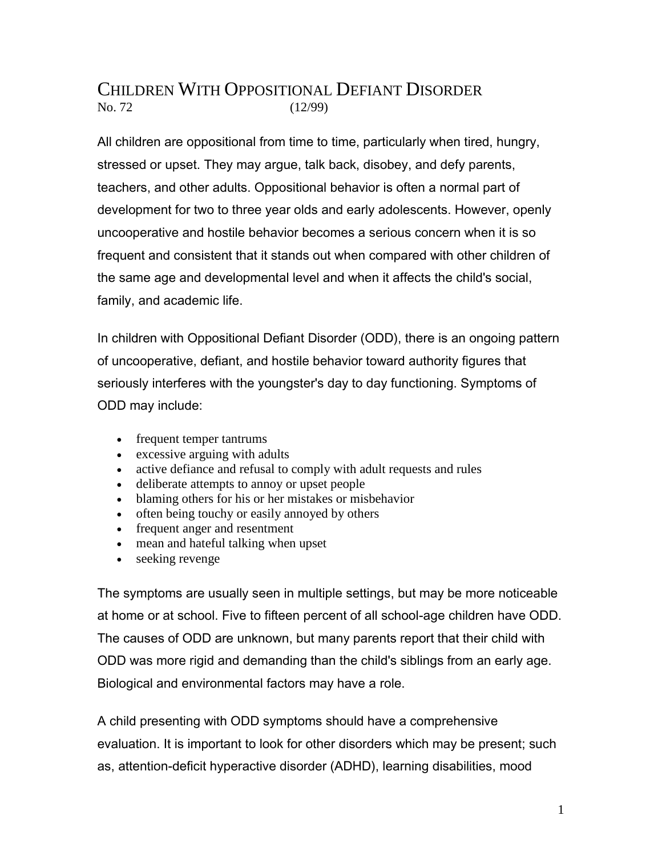## CHILDREN WITH OPPOSITIONAL DEFIANT DISORDER  $\text{No. } 72 \tag{12/99}$

All children are oppositional from time to time, particularly when tired, hungry, stressed or upset. They may argue, talk back, disobey, and defy parents, teachers, and other adults. Oppositional behavior is often a normal part of development for two to three year olds and early adolescents. However, openly uncooperative and hostile behavior becomes a serious concern when it is so frequent and consistent that it stands out when compared with other children of the same age and developmental level and when it affects the child's social, family, and academic life.

In children with Oppositional Defiant Disorder (ODD), there is an ongoing pattern of uncooperative, defiant, and hostile behavior toward authority figures that seriously interferes with the youngster's day to day functioning. Symptoms of ODD may include:

- frequent temper tantrums
- excessive arguing with adults
- active defiance and refusal to comply with adult requests and rules
- deliberate attempts to annoy or upset people
- blaming others for his or her mistakes or misbehavior
- often being touchy or easily annoyed by others
- frequent anger and resentment
- mean and hateful talking when upset
- seeking revenge

The symptoms are usually seen in multiple settings, but may be more noticeable at home or at school. Five to fifteen percent of all school-age children have ODD. The causes of ODD are unknown, but many parents report that their child with ODD was more rigid and demanding than the child's siblings from an early age. Biological and environmental factors may have a role.

A child presenting with ODD symptoms should have a comprehensive evaluation. It is important to look for other disorders which may be present; such as, attention-deficit hyperactive disorder (ADHD), learning disabilities, mood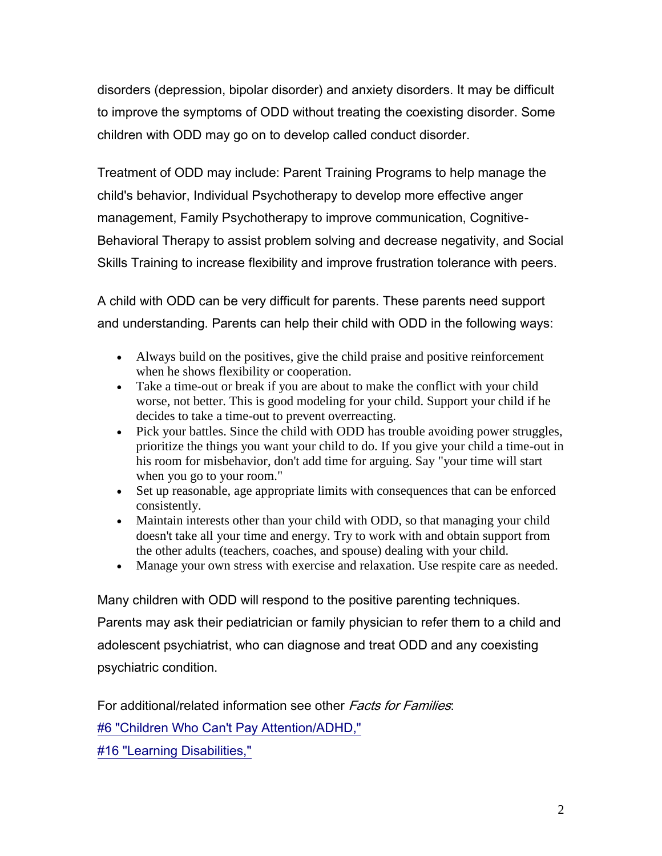disorders (depression, bipolar disorder) and anxiety disorders. It may be difficult to improve the symptoms of ODD without treating the coexisting disorder. Some children with ODD may go on to develop called conduct disorder.

Treatment of ODD may include: Parent Training Programs to help manage the child's behavior, Individual Psychotherapy to develop more effective anger management, Family Psychotherapy to improve communication, Cognitive-Behavioral Therapy to assist problem solving and decrease negativity, and Social Skills Training to increase flexibility and improve frustration tolerance with peers.

A child with ODD can be very difficult for parents. These parents need support and understanding. Parents can help their child with ODD in the following ways:

- Always build on the positives, give the child praise and positive reinforcement when he shows flexibility or cooperation.
- Take a time-out or break if you are about to make the conflict with your child worse, not better. This is good modeling for your child. Support your child if he decides to take a time-out to prevent overreacting.
- Pick your battles. Since the child with ODD has trouble avoiding power struggles, prioritize the things you want your child to do. If you give your child a time-out in his room for misbehavior, don't add time for arguing. Say "your time will start when you go to your room."
- Set up reasonable, age appropriate limits with consequences that can be enforced consistently.
- Maintain interests other than your child with ODD, so that managing your child doesn't take all your time and energy. Try to work with and obtain support from the other adults (teachers, coaches, and spouse) dealing with your child.
- Manage your own stress with exercise and relaxation. Use respite care as needed.

Many children with ODD will respond to the positive parenting techniques. Parents may ask their pediatrician or family physician to refer them to a child and adolescent psychiatrist, who can diagnose and treat ODD and any coexisting psychiatric condition.

For additional/related information see other *Facts for Families*:

[#6 "Children Who Can't Pay Attention/ADHD,"](http://www.aacap.org/publications/factsfam/noattent.htm)

[#16 "Learning Disabilities,"](http://www.aacap.org/publications/factsfam/ld.htm)